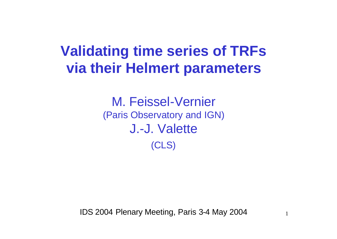# **Validating time series of TRFs via their Helmert parameters**

M. Feissel-Vernier (Paris Observatory and IGN) J.-J. Valette (CLS)

IDS 2004 Plenary Meeting, Paris 3-4 May 2004

1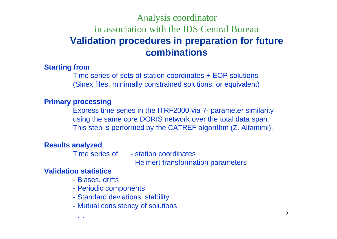### Analysis coordinator in association with the IDS Central Bureau **Validation procedures in preparation for future combinations**

#### **Starting from**

Time series of sets of station coordinates + EOP solutions (Sinex files, minimally constrained solutions, or equivalent)

#### **Primary processing**

Express time series in the ITRF2000 via 7- parameter similarity using the same core DORIS network over the total data span. This step is performed by the CATREF algorithm (Z. Altamimi).

#### **Results analyzed**

- Time series of station coordinates
	- Helmert transformation parameters

#### **Validation statistics**

- Biases, drifts
- Periodic components
- Standard deviations, stability
- Mutual consistency of solutions

- …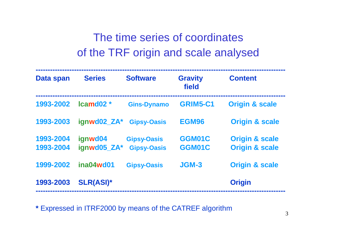## The time series of coordinates of the TRF origin and scale analysed

| Data span              | <b>Series</b>          | <b>Software</b>                          | <b>Gravity</b><br>field | <b>Content</b>                                         |
|------------------------|------------------------|------------------------------------------|-------------------------|--------------------------------------------------------|
| 1993-2002              | $lcamd02*$             | <b>Gins-Dynamo</b>                       | <b>GRIM5-C1</b>         | <b>Origin &amp; scale</b>                              |
| 1993-2003              | ignwd02 ZA*            | <b>Gipsy-Oasis</b>                       | <b>EGM96</b>            | <b>Origin &amp; scale</b>                              |
| 1993-2004<br>1993-2004 | ignwd04<br>ignwd05 ZA* | <b>Gipsy-Oasis</b><br><b>Gipsy-Oasis</b> | GGM01C<br>GGM01C        | <b>Origin &amp; scale</b><br><b>Origin &amp; scale</b> |
| 1999-2002              | ina04wd01              | <b>Gipsy-Oasis</b>                       | JGM-3                   | <b>Origin &amp; scale</b>                              |
| 1993-2003              | <b>SLR(ASI)*</b>       |                                          |                         | <b>Origin</b>                                          |

**\*** Expressed in ITRF2000 by means of the CATREF algorithm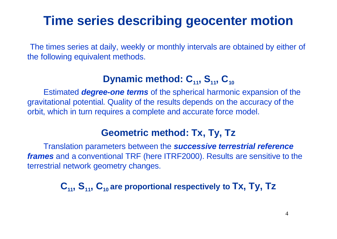# **Time series describing geocenter motion**

The times series at daily, weekly or monthly intervals are obtained by either of the following equivalent methods.

### **Dynamic method: C11, S11, C<sup>10</sup>**

Estimated *degree-one terms* of the spherical harmonic expansion of the gravitational potential. Quality of the results depends on the accuracy of the orbit, which in turn requires a complete and accurate force model.

### **Geometric method: Tx, Ty, Tz**

Translation parameters between the *successive terrestrial reference frames* and a conventional TRF (here ITRF2000). Results are sensitive to the terrestrial network geometry changes.

**C11, S11, C10 are proportional respectively to Tx, Ty, Tz**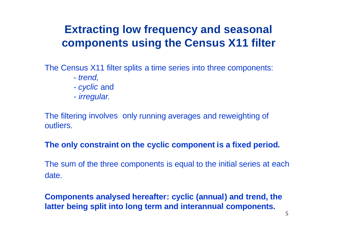## **Extracting low frequency and seasonal components using the Census X11 filter**

The Census X11 filter splits a time series into three components:

- *trend,*
- *cyclic* and
- *irregular.*

The filtering involves only running averages and reweighting of outliers.

#### **The only constraint on the cyclic component is <sup>a</sup> fixed period.**

The sum of the three components is equal to the initial series at each date.

**Components analysed hereafter: cyclic (annual) and trend, the latter being split into long term and interannual components.**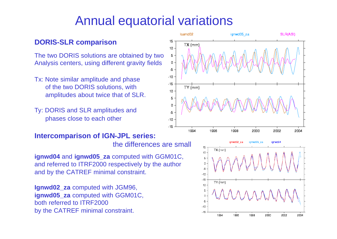# Annual equatorial variations

#### **DORIS-SLR comparison**

The two DORIS solutions are obtained by two Analysis centers, using different gravity fields

- Tx: Note similar amplitude and phase of the two DORIS solutions, with amplitudes about twice that of SLR.
- Ty: DORIS and SLR amplitudes and phases close to each other

#### **Intercomparison of IGN-JPL series:** the differences are small

**ignwd04** and **ignwd05\_za** computed with GGM01C, and referred to ITRF2000 respectively by the author and by the CATREF minimal constraint.

**Ignwd02\_za** computed with JGM96, **ignwd05** za computed with GGM01C, both referred to ITRF2000 by the CATREF minimal constraint.



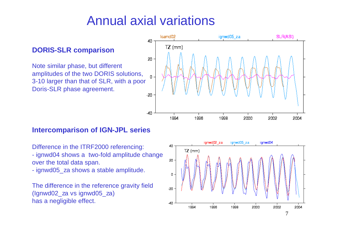# Annual axial variations

40

20

 $\Omega$ 

 $-40$ 

Icamd02

 $TZ$  (mm)

1994

1996

#### **DORIS-SLR comparison**

Note similar phase, but different amplitudes of the two DORIS solutions, 3-10 larger than that of SLR, with a poor Doris-SLR phase agreement.  $-20$ 



Difference in the ITRF2000 referencing: - ignwd04 shows a two-fold amplitude change over the total data span.

- ignwd05 za shows a stable amplitude.

The difference in the reference gravity field (Ignwd02\_za vs ignwd05\_za) has a negligible effect.



ignwd05 za

1998

2000

2002

2004

SLR(ASI)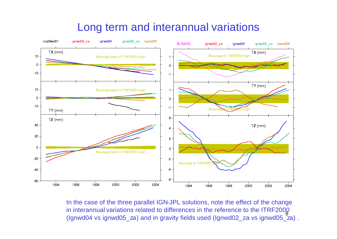### Long term and interannual variations



8 In the case of the three parallel IGN-JPL solutions, note the effect of the change in interannual variations related to differences in the reference to the ITRF2000 (Ignwd04 vs ignwd05\_za) and in gravity fields used (Ignwd02\_za vs ignwd05\_za) .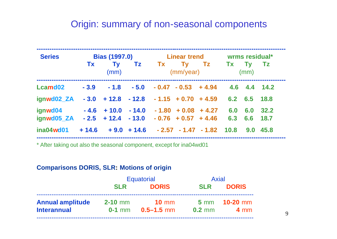### Origin: summary of non-seasonal components

| <b>Series</b>                                                               | <b>Bias (1997.0)</b> |                                                | <b>Linear trend</b> |  | wrms residual* |                      |              |                 |      |
|-----------------------------------------------------------------------------|----------------------|------------------------------------------------|---------------------|--|----------------|----------------------|--------------|-----------------|------|
|                                                                             | <b>Tx</b>            | <b>Ty</b><br>(mm)                              |                     |  | (mm/year)      | Tz Tx Ty Tz Tx Ty Tz |              | (mm)            |      |
| Lcamd02                                                                     |                      | $-3.9$ $-1.8$ $-5.0$ $-0.47$ $-0.53$ $+4.94$   |                     |  |                |                      | 4.6 4.4 14.2 |                 |      |
| ignwd02_ZA                                                                  | $-3.0$               | $+12.8$ $-12.8$ $-1.15$ $+0.70$ $+4.59$        |                     |  |                |                      |              | 6.2 6.5 18.8    |      |
| ignwd04<br>ignwd05_ZA - 2.5 + 12.4 - 13.0 - 0.76 + 0.57 + 4.46 6.3 6.6 18.7 |                      | $-4.6$ + 10.0 $-14.0$ $-1.80$ + 0.08 + 4.27    |                     |  |                |                      | 6.0          | 6.0             | 32.2 |
| ina04wd01                                                                   |                      | $+14.6 + 9.0 + 14.6 - 2.57 - 1.47 - 1.82$ 10.8 |                     |  |                |                      |              | $9.0\quad 45.8$ |      |

\* After taking out also the seasonal component, except for ina04wd01

#### **Comparisons DORIS, SLR: Motions of origin**

|                         | <b>Equatorial</b> |                       | <b>Axial</b> |                      |
|-------------------------|-------------------|-----------------------|--------------|----------------------|
|                         | <b>SLR</b>        | <b>DORIS</b>          | <b>SLR</b>   | <b>DORIS</b>         |
| <b>Annual amplitude</b> | $2-10$ mm         | $10 \text{ mm}$       |              | 5 mm <b>10-20 mm</b> |
| <b>Interannual</b>      |                   | $0-1$ mm $0.5-1.5$ mm | $0.2$ mm     | $4 \text{ mm}$       |
|                         |                   |                       |              |                      |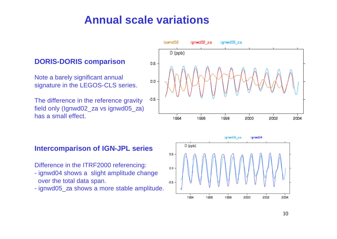## **Annual scale variations**

#### **DORIS-DORIS comparison**

Note a barely significant annual signature in the LEGOS-CLS series.

The difference in the reference gravity field only (Ignwd02\_za vs ignwd05\_za) has a small effect.

#### **Intercomparison of IGN-JPL series**

Difference in the ITRF2000 referencing:

- ignwd04 shows a slight amplitude change over the total data span.
- ignwd05 za shows a more stable amplitude.



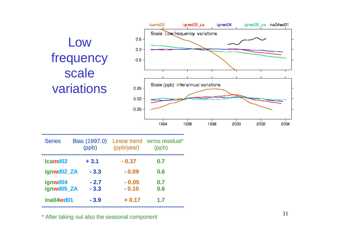

\* After taking out also the seasonal component